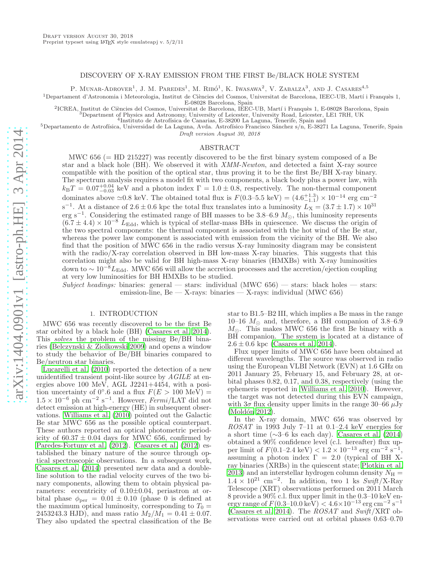## DISCOVERY OF X-RAY EMISSION FROM THE FIRST Be/BLACK HOLE SYSTEM

P. MUNAR-ADROVER<sup>1</sup>, J. M. PAREDES<sup>1</sup>, M. RIBÓ<sup>1</sup>, K. IWASAWA<sup>2</sup>, V. ZABALZA<sup>3</sup>, AND J. CASARES<sup>4,5</sup>

 $1$ Departament d'Astronomia i Meteorologia, Institut de Ciències del Cosmos, Universitat de Barcelona, IEEC-UB, Martí i Franquès 1,

E-08028 Barcelona, Spain

<sup>2</sup>ICREA, Institut de Ciències del Cosmos, Universitat de Barcelona, IEEC-UB, Martí i Franquès 1, E-08028 Barcelona, Spain

 $^3$ Department of Physics and Astronomy, University of Leicester, University Road, Leicester, LE1 7RH, UK $^4$ Instituto de Astrofísica de Canarias, E-38200 La Laguna, Tenerife, Spain and

<sup>5</sup>Departamento de Astrofísica, Universidad de La Laguna, Avda. Astrofísico Francisco Sánchez s/n, E-38271 La Laguna, Tenerife, Spain Draft version August 30, 2018

#### ABSTRACT

MWC 656 (= HD 215227) was recently discovered to be the first binary system composed of a Be star and a black hole (BH). We observed it with XMM-Newton, and detected a faint X-ray source compatible with the position of the optical star, thus proving it to be the first Be/BH X-ray binary. The spectrum analysis requires a model fit with two components, a black body plus a power law, with  $k_{\rm B}T = 0.07_{-0.03}^{+0.04}$  keV and a photon index  $\Gamma = 1.0 \pm 0.8$ , respectively. The non-thermal component dominates above  $\approx$ 0.8 keV. The obtained total flux is  $F(0.3-5.5 \text{ keV}) = (4.6^{+1.3}_{-1.1}) \times 10^{-14} \text{ erg cm}^{-2}$ s<sup>-1</sup>. At a distance of  $2.6 \pm 0.6$  kpc the total flux translates into a luminosity  $L_X = (3.7 \pm 1.7) \times 10^{31}$ erg s<sup>-1</sup>. Considering the estimated range of BH masses to be 3.8–6.9  $M_{\odot}$ , this luminosity represents  $(6.7 \pm 4.4) \times 10^{-8}$  L<sub>Edd</sub>, which is typical of stellar-mass BHs in quiescence. We discuss the origin of the two spectral components: the thermal component is associated with the hot wind of the Be star, whereas the power law component is associated with emission from the vicinity of the BH. We also find that the position of MWC 656 in the radio versus X-ray luminosity diagram may be consistent with the radio/X-ray correlation observed in BH low-mass X-ray binaries. This suggests that this correlation might also be valid for BH high-mass X-ray binaries (HMXBs) with X-ray luminosities down to  $\sim 10^{-8}L_{\text{Edd}}$ . MWC 656 will allow the accretion processes and the accretion/ejection coupling at very low luminosities for BH HMXBs to be studied.

Subject headings: binaries: general — stars: individual (MWC  $656$ ) — stars: black holes — stars: emission-line, Be  $-$  X-rays: binaries  $-$  X-rays: individual (MWC 656)

#### 1. INTRODUCTION

MWC 656 was recently discovered to be the first Be star orbited by a black hole (BH) [\(Casares et al. 2014\)](#page-4-0). This solves the problem of the missing Be/BH binaries [\(Belczynski & Ziolkowski 2009\)](#page-4-1) and opens a window to study the behavior of Be/BH binaries compared to Be/neutron star binaries.

[Lucarelli et al. \(2010](#page-4-2)) reported the detection of a new unidentified transient point-like source by *AGILE* at energies above 100 MeV, AGL J2241+4454, with a position uncertainty of 0°.6 and a flux  $F(E > 100 \text{ MeV}) =$  $1.5 \times 10^{-6}$  ph cm<sup>-2</sup> s<sup>-1</sup>. However, Fermi/LAT did not detect emission at high-energy (HE) in subsequent observations. [Williams et al. \(2010\)](#page-4-3) pointed out the Galactic Be star MWC 656 as the possible optical counterpart. These authors reported an optical photometric periodicity of  $60.37 \pm 0.04$  days for MWC 656, confirmed by [Paredes-Fortuny et al. \(2012\)](#page-4-4). [Casares et al. \(2012\)](#page-4-5) established the binary nature of the source through optical spectroscopic observations. In a subsequent work, [Casares et al. \(2014](#page-4-0)) presented new data and a doubleline solution to the radial velocity curves of the two binary components, allowing them to obtain physical parameters: eccentricity of  $0.10\pm0.04$ , periastron at orbital phase  $\phi_{\text{per}} = 0.01 \pm 0.10$  (phase 0 is defined at the maximum optical luminosity, corresponding to  $T_0 =$ 2453243.3 HJD), and mass ratio  $M_2/M_1 = 0.41 \pm 0.07$ . They also updated the spectral classification of the Be star to B1.5–B2 III, which implies a Be mass in the range 10–16  $M_{\odot}$  and, therefore, a BH companion of 3.8–6.9  $M_{\odot}$ . This makes MWC 656 the first Be binary with a BH companion. The system is located at a distance of  $2.6 \pm 0.6$  kpc [\(Casares et al. 2014\)](#page-4-0).

Flux upper limits of MWC 656 have been obtained at different wavelengths. The source was observed in radio using the European VLBI Network (EVN) at 1.6 GHz on 2011 January 25, February 15, and February 28, at orbital phases 0.82, 0.17, and 0.38, respectively (using the ephemeris reported in [Williams et al. 2010\)](#page-4-3). However, the target was not detected during this EVN campaign, with  $3\sigma$  flux density upper limits in the range  $30-66 \mu Jy$  $(Moldón 2012).$ 

In the X-ray domain, MWC 656 was observed by ROSAT in 1993 July 7–11 at 0.1–2.4 keV energies for a short time (∼3–6 ks each day). [Casares et al. \(2014](#page-4-0)) obtained a 90% confidence level (c.l. hereafter) flux upper limit of  $F(0.1-2.4 \text{ keV}) < 1.2 \times 10^{-13} \text{ erg cm}^{-2} \text{ s}^{-1}$ , assuming a photon index  $\Gamma = 2.0$  (typical of BH Xray binaries (XRBs) in the quiescent state; [Plotkin et al.](#page-4-7) [2013\)](#page-4-7) and an interstellar hydrogen column density  $N_{\rm H}$  =  $1.4 \times 10^{21}$  cm<sup>-2</sup>. In addition, two 1 ks  $Swift/X-Ray$ Telescope (XRT) observations performed on 2011 March 8 provide a 90% c.l. flux upper limit in the 0.3–10 keV energy range of  $F(0.3-10.0 \text{ keV}) < 4.6 \times 10^{-13} \text{ erg cm}^{-2} \text{ s}^{-1}$ [\(Casares et al. 2014\)](#page-4-0). The  $ROSAT$  and  $Swith/XRT$  observations were carried out at orbital phases 0.63–0.70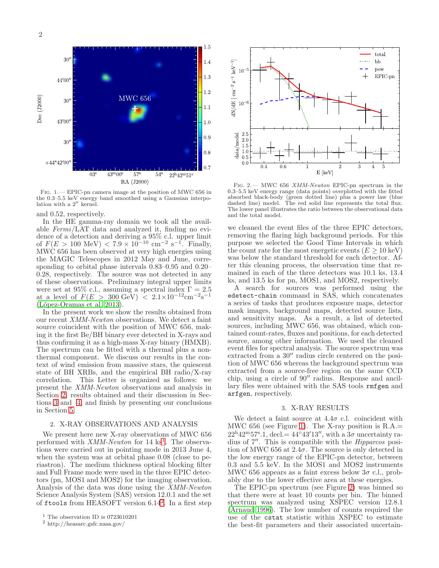

<span id="page-1-4"></span>Fig. 1.— EPIC-pn camera image at the position of MWC 656 in the 0.3–5.5 keV energy band smoothed using a Gaussian interpo-lation with a 2′′ kernel.

and 0.52, respectively.

In the HE gamma-ray domain we took all the available Fermi/LAT data and analyzed it, finding no evidence of a detection and deriving a 95% c.l. upper limit of  $F(E > 100 \text{ MeV}) < 7.9 \times 10^{-10} \text{ cm}^{-2} \text{ s}^{-1}$ . Finally, MWC 656 has been observed at very high energies using the MAGIC Telescopes in 2012 May and June, corresponding to orbital phase intervals 0.83–0.95 and 0.20– 0.28, respectively. The source was not detected in any of these observations. Preliminary integral upper limits were set at 95% c.l., assuming a spectral index  $\Gamma = 2.5$ at a level of  $F(E > 300 \text{ GeV}) < 2.1 \times 10^{-12} \text{cm}^{-2}\text{s}^{-1}$  $(López-Oramas et al. 2013).$ 

In the present work we show the results obtained from our recent XMM-Newton observations. We detect a faint source coincident with the position of MWC 656, making it the first Be/BH binary ever detected in X-rays and thus confirming it as a high-mass X-ray binary (HMXB). The spectrum can be fitted with a thermal plus a nonthermal component. We discuss our results in the context of wind emission from massive stars, the quiescent state of BH XRBs, and the empirical BH radio/X-ray correlation. This Letter is organized as follows: we present the XMM-Newton observations and analysis in Section [2,](#page-1-0) results obtained and their discussion in Sections [3](#page-1-1) and [4,](#page-2-0) and finish by presenting our conclusions in Section [5.](#page-4-9)

## <span id="page-1-0"></span>2. X-RAY OBSERVATIONS AND ANALYSIS

We present here new X-ray observations of MWC 656 performed with *XMM-Newton* for [1](#page-1-2)4 ks<sup>1</sup>. The observations were carried out in pointing mode in 2013 June 4, when the system was at orbital phase 0.08 (close to periastron). The medium thickness optical blocking filter and Full Frame mode were used in the three EPIC detectors (pn, MOS1 and MOS2) for the imaging observation. Analysis of the data was done using the XMM-Newton Science Analysis System (SAS) version 12.0.1 and the set of ftools from HEASOFT version 6.14[2](#page-1-3) . In a first step



<span id="page-1-5"></span>Fig. 2.— MWC 656 XMM-Newton EPIC-pn spectrum in the 0.3–5.5 keV energy range (data points) overplotted with the fitted absorbed black-body (green dotted line) plus a power law (blue dashed line) model. The red solid line represents the total flux. The lower panel illustrates the ratio between the observational data and the total model.

we cleaned the event files of the three EPIC detectors, removing the flaring high background periods. For this purpose we selected the Good Time Intervals in which the count rate for the most energetic events ( $E \geq 10 \text{ keV}$ ) was below the standard threshold for each detector. After this cleaning process, the observation time that remained in each of the three detectors was 10.1 ks, 13.4 ks, and 13.5 ks for pn, MOS1, and MOS2, respectively.

A search for sources was performed using the edetect-chain command in SAS, which concatenates a series of tasks that produces exposure maps, detector mask images, background maps, detected source lists, and sensitivity maps. As a result, a list of detected sources, including MWC 656, was obtained, which contained count-rates, fluxes and positions, for each detected source, among other information. We used the cleaned event files for spectral analysis. The source spectrum was extracted from a  $30''$  radius circle centered on the position of MWC 656 whereas the background spectrum was extracted from a source-free region on the same CCD chip, using a circle of 90′′ radius. Response and ancillary files were obtained with the SAS tools rmfgen and arfgen, respectively.

# 3. X-RAY RESULTS

<span id="page-1-1"></span>We detect a faint source at  $4.4\sigma$  c.l. coincident with MWC 656 (see Figure [1\)](#page-1-4). The X-ray position is R.A.=  $22^{\mathrm{h}}42^{\mathrm{m}}57^{\mathrm{s}}.1$ , decl. =  $44^{\circ}43'13''$ , with a  $3\sigma$  uncertainty radius of  $7''$ . This is compatible with the *Hipparcos* position of MWC 656 at  $2.4\sigma$ . The source is only detected in the low energy range of the EPIC-pn detector, between 0.3 and 5.5 keV. In the MOS1 and MOS2 instruments MWC 656 appears as a faint excess below  $3\sigma$  c.l., probably due to the lower effective area at these energies.

The EPIC-pn spectrum (see Figure [2\)](#page-1-5) was binned so that there were at least 10 counts per bin. The binned spectrum was analyzed using XSPEC version 12.8.1 [\(Arnaud 1996](#page-4-10)). The low number of counts required the use of the cstat statistic within XSPEC to estimate the best-fit parameters and their associated uncertain-

 $^1$  The observation ID is 0723610201  $\,$ 

<span id="page-1-3"></span><span id="page-1-2"></span><sup>2</sup> http://heasarc.gsfc.nasa.gov/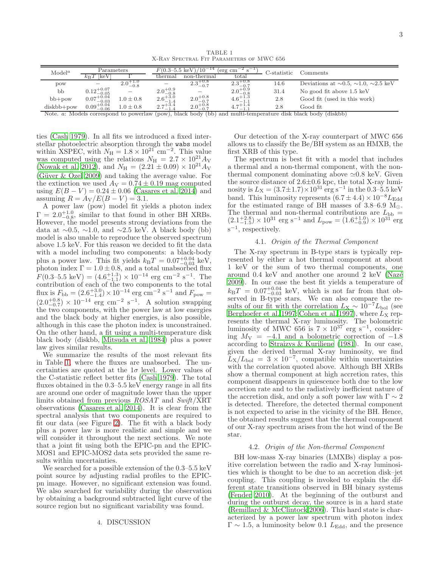TABLE 1 X-Ray Spectral Fit Parameters of MWC 656

<span id="page-2-1"></span>

| $\text{Model}^a$ | Parameters                        |                     | $F(0.3-5.5 \text{ keV})$<br>$(10^{-14})$<br>erg cm |                               |                     | C-statistic | Comments                                               |
|------------------|-----------------------------------|---------------------|----------------------------------------------------|-------------------------------|---------------------|-------------|--------------------------------------------------------|
|                  | ke V<br>$\kappa_{\rm B}$ 1        |                     | thermal                                            | non-thermal                   | total               |             |                                                        |
| pow              |                                   | $2.0^{+1.0}_{-0.8}$ | $\qquad \qquad \blacksquare$                       | $+0.8$<br>$2.3^{+0.0}_{-0.7}$ | $2.3^{+0.8}_{-0.7}$ | 14.6        | Deviations at $\sim 0.5$ , $\sim 1.0$ , $\sim 2.5$ keV |
| bb               | $0.12^{+0.07}_{-0.05}$            |                     | $2.0^{+0.9}_{-0.8}$                                |                               | $2.0^{+0.9}_{-0.8}$ | 31.4        | No good fit above 1.5 keV                              |
| $bb+pow$         | $0.07^{+0.04}_{-0.02}$<br>$-0.03$ | $0.0 \pm 0.8$       | $2.6^{+3.0}_{-1.4}$                                | $2.0^{+0.8}_{-0.7}$           | $4.6^{+1.3}_{-1.3}$ | 2.8         | Good fit (used in this work)                           |
| $diskbb+pow$     | $0.09^{+0.04}_{-0.06}$<br>$-0.06$ | $0.0 \pm 0.8$       | $2.7^{+3.4}_{-1.4}$                                | $2.0^{+0.8}_{-0.7}$           | $7+1.4$<br>-        | 2.8         | Good fit                                               |

Note. a: Models correspond to powerlaw (pow), black body (bb) and multi-temperature disk black body (diskbb)

ties [\(Cash 1979\)](#page-4-11). In all fits we introduced a fixed interstellar photoelectric absorption through the wabs model within XSPEC, with  $N_{\rm H} = 1.8 \times 10^{21}$  cm<sup>-2</sup>. This value was computed using the relations  $N_{\rm H} = 2.7 \times 10^{21} A_{\rm V}$ [\(Nowak et al. 2012](#page-4-12)), and  $N_{\rm H} = (2.21 \pm 0.09) \times 10^{21} A_{\rm V}$ (Güver & Özel [2009\)](#page-4-13) and taking the average value. For the extinction we used  $A_V = 0.74 \pm 0.19$  mag computed using  $E(B - V) = 0.24 \pm 0.06$  [\(Casares et al. 2014\)](#page-4-0) and assuming  $R = A_V/E(B-V) = 3.1$ .

A power law (pow) model fit yields a photon index  $\Gamma = 2.0^{+1.0}_{-0.8}$ , similar to that found in other BH XRBs. However, the model presents strong deviations from the data at  $\sim$ 0.5,  $\sim$ 1.0, and  $\sim$ 2.5 keV. A black body (bb) model is also unable to reproduce the observed spectrum above 1.5 keV. For this reason we decided to fit the data with a model including two components: a black-body plus a power law. This fit yields  $k_{\rm B}T = 0.07^{+0.04}_{-0.03}$  keV, photon index  $\Gamma = 1.0 \pm 0.8$ , and a total unabsorbed flux  $F(0.3-5.5 \text{ keV}) = (4.6_{-1.1}^{+1.3}) \times 10^{-14} \text{ erg cm}^{-2} \text{ s}^{-1}$ . The contribution of each of the two components to the total flux is  $F_{\text{bb}} = (2.6^{+3.0}_{-1.4}) \times 10^{-14}$  erg cm<sup>-2</sup> s<sup>-1</sup> and  $F_{\text{pow}} =$  $(2.0^{+0.8}_{-0.7}) \times 10^{-14}$  erg cm<sup>-2</sup> s<sup>-1</sup>. A solution swapping the two components, with the power law at low energies and the black body at higher energies, is also possible, although in this case the photon index is unconstrained. On the other hand, a fit using a multi-temperature disk black body (diskbb, [Mitsuda et al. 1984\)](#page-4-14) plus a power law gives similar results.

We summarize the results of the most relevant fits in Table [1,](#page-2-1) where the fluxes are unabsorbed. The uncertainties are quoted at the  $1\sigma$  level. Lower values of the C-statistic reflect better fits [\(Cash 1979\)](#page-4-11). The total fluxes obtained in the  $0.3-5.5 \text{ keV}$  energy range in all fits are around one order of magnitude lower than the upper limits obtained from previous ROSAT and Swift/XRT observations [\(Casares et al. 2014\)](#page-4-0). It is clear from the spectral analysis that two components are required to fit our data (see Figure [2\)](#page-1-5). The fit with a black body plus a power law is more realistic and simple and we will consider it throughout the next sections. We note that a joint fit using both the EPIC-pn and the EPIC-MOS1 and EPIC-MOS2 data sets provided the same results within uncertainties.

<span id="page-2-0"></span>We searched for a possible extension of the 0.3–5.5 keV point source by adjusting radial profiles to the EPICpn image. However, no significant extension was found. We also searched for variability during the observation by obtaining a background subtracted light curve of the source region but no significant variability was found.

#### 4. DISCUSSION

Our detection of the X-ray counterpart of MWC 656 allows us to classify the Be/BH system as an HMXB, the first XRB of this type.

The spectrum is best fit with a model that includes a thermal and a non-thermal component, with the nonthermal component dominating above  $\simeq 0.8$  keV. Given the source distance of  $2.6\pm0.6$  kpc, the total X-ray luminosity is  $L_X = (3.7 \pm 1.7) \times 10^{31} \text{ erg s}^{-1}$  in the  $0.3-\dot{5}.5 \text{ keV}$ band. This luminosity represents  $(6.7 \pm 4.4) \times 10^{-8} L_{\text{Edd}}$ for the estimated range of BH masses of 3.8–6.9  $M_{\odot}$ . The thermal and non-thermal contributions are  $L_{bb}$  =  $(2.1^{+2.8}_{-1.5}) \times 10^{31}$  erg s<sup>-1</sup> and  $L_{\text{pow}} = (1.6^{+1.0}_{-0.9}) \times 10^{31}$  erg s −1 , respectively.

## 4.1. Origin of the Thermal Component

The X-ray spectrum in B-type stars is typically represented by either a hot thermal component at about 1 keV or the sum of two thermal components, one around  $0.4 \text{ keV}$  and another one around  $2 \text{ keV}$  (Nazé [2009\)](#page-4-15). In our case the best fit yields a temperature of  $k_{\rm B}T = 0.07_{-0.03}^{+0.04}$  keV, which is not far from that observed in B-type stars. We can also compare the results of our fit with the correlation  $L_X \sim 10^{-7} L_{bol}$  (see [Berghoefer et al. 1997](#page-4-16); [Cohen et al. 1997\)](#page-4-17), where  $L_X$  represents the thermal X-ray luminosity. The bolometric luminosity of MWC 656 is  $7 \times 10^{37}$  erg s<sup>-1</sup>, considering  $M_V = -4.1$  and a bolometric correction of  $-1.8$ according to [Straizys & Kuriliene \(1981](#page-4-18)). In our case, given the derived thermal X-ray luminosity, we find  $\widetilde{L}_{\rm X}/L_{\rm bol} = 3 \times 10^{-7}$ , compatible within uncertainties with the correlation quoted above. Although BH XRBs show a thermal component at high accretion rates, this component disappears in quiescence both due to the low accretion rate and to the radiatively inefficient nature of the accretion disk, and only a soft power law with  $\Gamma \sim 2$ is detected. Therefore, the detected thermal component is not expected to arise in the vicinity of the BH. Hence, the obtained results suggest that the thermal component of our X-ray spectrum arises from the hot wind of the Be star.

## 4.2. Origin of the Non-thermal Component

BH low-mass X-ray binaries (LMXBs) display a positive correlation between the radio and X-ray luminosities which is thought to be due to an accretion disk–jet coupling. This coupling is invoked to explain the different state transitions observed in BH binary systems [\(Fender 2010\)](#page-4-19). At the beginning of the outburst and during the outburst decay, the source is in a hard state [\(Remillard & McClintock 2006\)](#page-4-20). This hard state is characterized by a power law spectrum with photon index  $\Gamma \sim 1.5$ , a luminosity below 0.1  $L_{\text{Edd}}$ , and the presence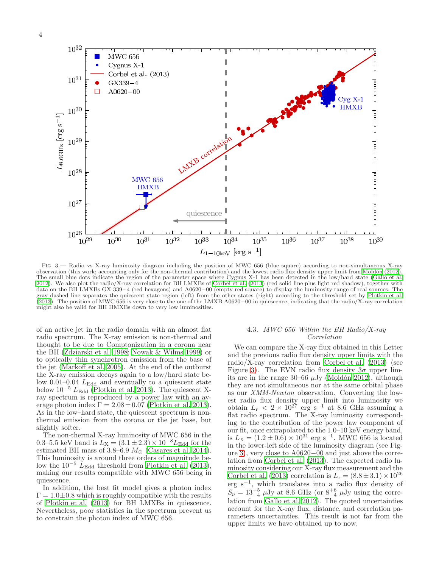

<span id="page-3-0"></span>Fig. 3.— Radio vs X-ray luminosity diagram including the position of MWC 656 (blue square) according to non-simultaneous X-ray observation (this work; accounting only for the non-thermal contribution) and the lowest radio flux density upper limit from [Mold´on \(2012](#page-4-6)). The small blue dots indicate the region of the parameter space where Cygnus X-1 has been detected in the low/hard state [\(Gallo et al.](#page-4-21) [2012\)](#page-4-21). We also plot the radio/X-ray correlation for BH LMXBs of [Corbel et al. \(2013](#page-4-22)) (red solid line plus light red shadow), together with data on the BH LMXBs GX 339−4 (red hexagons) and A0620−00 (empty red square) to display the luminosity range of real sources. The gray dashed line separates the quiescent state region (left) from the other states (right) according to the threshold set by [Plotkin et al.](#page-4-7) [\(2013\)](#page-4-7). The position of MWC 656 is very close to the one of the LMXB A0620−00 in quiescence, indicating that the radio/X-ray correlation might also be valid for BH HMXBs down to very low luminosities.

of an active jet in the radio domain with an almost flat radio spectrum. The X-ray emission is non-thermal and thought to be due to Comptonization in a corona near the BH [\(Zdziarski et al. 1998;](#page-4-23) [Nowak & Wilms 1999\)](#page-4-24) or to optically thin synchrotron emission from the base of the jet [\(Markoff et al. 2005\)](#page-4-25). At the end of the outburst the X-ray emission decays again to a low/hard state below  $0.01-0.04$   $L_{\text{Edd}}$  and eventually to a quiescent state below  $10^{-5}$   $L_{\text{Edd}}$  [\(Plotkin et al. 2013\)](#page-4-7). The quiescent Xray spectrum is reproduced by a power law with an average photon index  $\Gamma = 2.08 \pm 0.07$  [\(Plotkin et al. 2013\)](#page-4-7). As in the low–hard state, the quiescent spectrum is nonthermal emission from the corona or the jet base, but slightly softer.

The non-thermal X-ray luminosity of MWC 656 in the 0.3–5.5 keV band is  $L_X = (3.1 \pm 2.3) \times 10^{-8} L_{\text{Edd}}$  for the estimated BH mass of  $3.8-6.9$   $M_{\odot}$  [\(Casares et al. 2014\)](#page-4-0). This luminosity is around three orders of magnitude below the  $10^{-5}$  L<sub>Edd</sub> threshold from [Plotkin et al. \(2013\)](#page-4-7), making our results compatible with MWC 656 being in quiescence.

In addition, the best fit model gives a photon index  $\Gamma=1.0\pm0.8$  which is roughly compatible with the results of [Plotkin et al. \(2013\)](#page-4-7) for BH LMXBs in quiescence. Nevertheless, poor statistics in the spectrum prevent us to constrain the photon index of MWC 656.

# 4.3. MWC 656 Within the BH Radio/X-ray Correlation

We can compare the X-ray flux obtained in this Letter and the previous radio flux density upper limits with the radio/X-ray correlation from [Corbel et al. \(2013](#page-4-22)) (see Figure [3\)](#page-3-0). The EVN radio flux density  $3\sigma$  upper limits are in the range 30–66  $\mu$ Jy (Moldón 2012), although they are not simultaneous nor at the same orbital phase as our XMM-Newton observation. Converting the lowest radio flux density upper limit into luminosity we obtain  $L_r < 2 \times 10^{27}$  erg s<sup>-1</sup> at 8.6 GHz assuming a flat radio spectrum. The X-ray luminosity corresponding to the contribution of the power law component of our fit, once extrapolated to the 1.0–10 keV energy band, is  $L_{\rm X} = (1.2 \pm 0.6) \times 10^{31}$  erg s<sup>-1</sup>. MWC 656 is located in the lower-left side of the luminosity diagram (see Figure [3\)](#page-3-0), very close to A0620−00 and just above the correlation from [Corbel et al. \(2013](#page-4-22)). The expected radio luminosity considering our X-ray flux measurement and the [Corbel et al. \(2013\)](#page-4-22) correlation is  $L_r = (8.8 \pm 3.1) \times 10^{26}$ erg s<sup>−</sup><sup>1</sup> , which translates into a radio flux density of  $S_{\nu} = 13^{+5}_{-4}$   $\mu$ Jy at 8.6 GHz (or  $8^{+6}_{-4}$   $\mu$ Jy using the correlation from [Gallo et al. 2012\)](#page-4-21). The quoted uncertainties account for the X-ray flux, distance, and correlation parameters uncertainties. This result is not far from the upper limits we have obtained up to now.